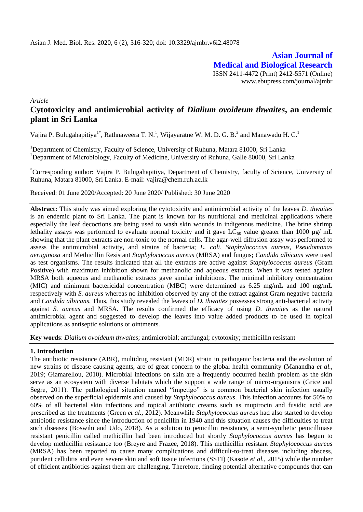**Asian Journal of Medical and Biological Research** ISSN 2411-4472 (Print) 2412-5571 (Online) www.ebupress.com/journal/ajmbr

*Article*

# **Cytotoxicity and antimicrobial activity of** *Dialium ovoideum thwaites***, an endemic plant in Sri Lanka**

Vajira P. Bulugahapitiya<sup>1\*</sup>, Rathnaweera T. N.<sup>1</sup>, Wijayaratne W. M. D. G. B.<sup>2</sup> and Manawadu H. C.<sup>1</sup>

<sup>1</sup>Department of Chemistry, Faculty of Science, University of Ruhuna, Matara 81000, Sri Lanka <sup>2</sup>Department of Microbiology, Faculty of Medicine, University of Ruhuna, Galle 80000, Sri Lanka

\*Corresponding author: Vajira P. Bulugahapitiya, Department of Chemistry, faculty of Science, University of Ruhuna, Matara 81000, Sri Lanka. E-mail: [vajira@chem.ruh.ac.lk](mailto:vajira@chem.ruh.ac.lk)

Received: 01 June 2020/Accepted: 20 June 2020/ Published: 30 June 2020

**Abstract:** This study was aimed exploring the cytotoxicity and antimicrobial activity of the leaves *D. thwaites*  is an endemic plant to Sri Lanka. The plant is known for its nutritional and medicinal applications where especially the leaf decoctions are being used to wash skin wounds in indigenous medicine. The brine shrimp lethality assays was performed to evaluate normal toxicity and it gave  $LC_{50}$  value greater than 1000 µg/ mL showing that the plant extracts are non-toxic to the normal cells. The agar-well diffusion assay was performed to assess the antimicrobial activity, and strains of bacteria; *E. coli*, *Staphylococcus aureus, Pseudomonas aeruginosa* and Methicillin Resistant *Staphylococcus aureus* (MRSA) and fungus; *Candida albicans* were used as test organisms. The results indicated that all the extracts are active against *Staphylococcus aureus* (Gram Positive) with maximum inhibition shown for methanolic and aqueous extracts. When it was tested against MRSA both aqueous and methanolic extracts gave similar inhibitions. The minimal inhibitory concentration (MIC) and minimum bactericidal concentration (MBC) were determined as 6.25 mg/mL and 100 mg/mL respectively with *S. aureus* whereas no inhibition observed by any of the extract against Gram negative bacteria and *Candida albicans.* Thus, this study revealed the leaves of *D. thwaites* possesses strong anti-bacterial activity against *S. aureus* and MRSA*.* The results confirmed the efficacy of using *D. thwaites* as the natural antimicrobial agent and suggested to develop the leaves into value added products to be used in topical applications as antiseptic solutions or ointments.

**Key words**: *Dialium ovoideum thwaites*; antimicrobial; antifungal; cytotoxity; methicillin resistant

## **1. Introduction**

The antibiotic resistance (ABR), multidrug resistant (MDR) strain in pathogenic bacteria and the evolution of new strains of disease causing agents, are of great concern to the global health community (Manandha *et al.*, 2019; Giamarellou, 2010). Microbial infections on skin are a frequently occurred health problem as the skin serve as an ecosystem with diverse habitats which the support a wide range of micro-organisms (Grice and Segre, 2011). The pathological situation named "impetigo" is a common bacterial skin infection usually observed on the superficial epidermis and caused by *Staphylococcus aureus*. This infection accounts for 50% to 60% of all bacterial skin infections and topical antibiotic creams such as mupirocin and fusidic acid are prescribed as the treatments (Green *et al.,* 2012). Meanwhile *Staphylococcus aureus* had also started to develop antibiotic resistance since the introduction of penicillin in 1940 and this situation causes the difficulties to treat such diseases (Boswihi and Udo, 2018). As a solution to penicillin resistance, a semi-synthetic penicillinase resistant penicillin called methicillin had been introduced but shortly *Staphylococcus aureus* has begun to develop methicillin resistance too (Breyre and Frazee, 2018). This methicillin resistant *Staphylococcus aureus* (MRSA) has been reported to cause many complications and difficult-to-treat diseases including abscess, purulent cellulitis and even severe skin and soft tissue infections (SSTI) (Kasote *et al.*, 2015) while the number of efficient antibiotics against them are challenging. Therefore, finding potential alternative compounds that can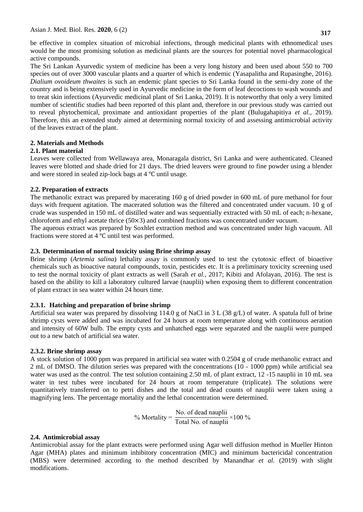be effective in complex situation of microbial infections, through medicinal plants with ethnomedical uses would be the most promising solution as medicinal plants are the sources for potential novel pharmacological active compounds.

The Sri Lankan Ayurvedic system of medicine has been a very long history and been used about 550 to 700 species out of over 3000 vascular plants and a quarter of which is endemic (Yasapalitha and Rupasinghe*,* 2016). *Dialium ovoideum thwaites* is such an endemic plant species to Sri Lanka found in the semi-dry zone of the country and is being extensively used in Ayurvedic medicine in the form of leaf decoctions to wash wounds and to treat skin infections (Ayurvedic medicinal plant of Sri Lanka, 2019). It is noteworthy that only a very limited number of scientific studies had been reported of this plant and, therefore in our previous study was carried out to reveal phytochemical, proximate and antioxidant properties of the plant (Bulugahapitiya *et al.,* 2019). Therefore, this an extended study aimed at determining normal toxicity of and assessing antimicrobial activity of the leaves extract of the plant.

# **2. Materials and Methods**

# **2.1. Plant material**

Leaves were collected from Wellawaya area, Monaragala district, Sri Lanka and were authenticated. Cleaned leaves were blotted and shade dried for 21 days. The dried leavers were ground to fine powder using a blender and were stored in sealed zip-lock bags at  $4^{\circ}$ C until usage.

# **2.2. Preparation of extracts**

The methanolic extract was prepared by macerating 160 g of dried powder in 600 mL of pure methanol for four days with frequent agitation. The macerated solution was the filtered and concentrated under vacuum. 10 g of crude was suspended in 150 mL of distilled water and was sequentially extracted with 50 mL of each; n-hexane, chloroform and ethyl acetate thrice (50×3) and combined fractions was concentrated under *vacuum*.

The aqueous extract was prepared by Soxhlet extraction method and was concentrated under high vacuum. All fractions were stored at  $4^{\circ}$ C until test was performed.

# **2.3. Determination of normal toxicity using Brine shrimp assay**

Brine shrimp (*Artemia salina*) lethality assay is commonly used to test the cytotoxic effect of bioactive chemicals such as bioactive natural compounds, toxin, pesticides etc. It is a preliminary toxicity screening used to test the normal toxicity of plant extracts as well (Sarah *et al.,* 2017; Kibiti and Afolayan, 2016). The test is based on the ability to kill a laboratory cultured larvae (nauplii) when exposing them to different concentration of plant extract in sea water within 24 hours time.

# **2.3.1. Hatching and preparation of brine shrimp**

Artificial sea water was prepared by dissolving 114.0 g of NaCl in 3 L (38 g/L) of water. A spatula full of brine shrimp cysts were added and was incubated for 24 hours at room temperature along with continuous aeration and intensity of 60W bulb. The empty cysts and unhatched eggs were separated and the nauplii were pumped out to a new batch of artificial sea water.

## **2.3.2. Brine shrimp assay**

A stock solution of 1000 ppm was prepared in artificial sea water with 0.2504 g of crude methanolic extract and 2 mL of DMSO. The dilution series was prepared with the concentrations (10 - 1000 ppm) while artificial sea water was used as the control. The test solution containing 2.50 mL of plant extract, 12 -15 nauplii in 10 mL sea water in test tubes were incubated for 24 hours at room temperature (triplicate). The solutions were quantitatively transferred on to petri dishes and the total and dead counts of nauplii were taken using a magnifying lens. The percentage mortality and the lethal concentration were determined.

% Mortality = 
$$
\frac{\text{No. of dead nauplii}}{\text{Total No. of nauplii}} \times 100\%
$$

# **2.4. Antimicrobial assay**

Antimicrobial assay for the plant extracts were performed using Agar well diffusion method in Mueller Hinton Agar (MHA) plates and minimum inhibitory concentration (MIC) and minimum bactericidal concentration (MBS) were determined according to the method described by Manandhar *et al.* (2019) with slight modifications.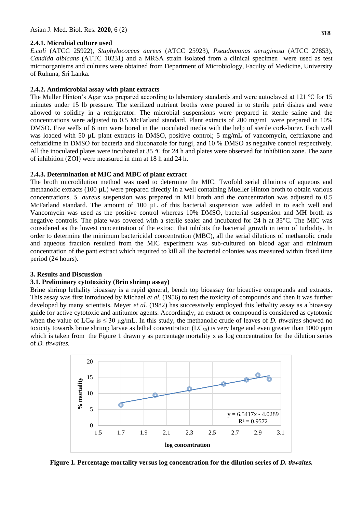#### **2.4.1. Microbial culture used**

*E.coli* (ATCC 25922), *Staphylococcus aureus* (ATCC 25923), *Pseudomonas aeruginosa* (ATCC 27853), *Candida albicans* (ATTC 10231) and a MRSA strain isolated from a clinical specimen were used as test microorganisms and cultures were obtained from Department of Microbiology, Faculty of Medicine, University of Ruhuna, Sri Lanka.

## **2.4.2. Antimicrobial assay with plant extracts**

The Muller Hinton's Agar was prepared according to laboratory standards and were autoclaved at 121  $\degree$ C for 15 minutes under 15 lb pressure. The sterilized nutrient broths were poured in to sterile petri dishes and were allowed to solidify in a refrigerator. The microbial suspensions were prepared in sterile saline and the concentrations were adjusted to 0.5 McFarland standard. Plant extracts of 200 mg/mL were prepared in 10% DMSO. Five wells of 6 mm were bored in the inoculated media with the help of sterile cork-borer. Each well was loaded with 50 µL plant extracts in DMSO, positive control; 5 mg/mL of vancomycin, ceftriaxone and ceftazidime in DMSO for bacteria and fluconazole for fungi, and 10 % DMSO as negative control respectively. All the inoculated plates were incubated at 35  $\degree$ C for 24 h and plates were observed for inhibition zone. The zone of inhibition (ZOI) were measured in mm at 18 h and 24 h.

#### **2.4.3. Determination of MIC and MBC of plant extract**

The broth microdilution method was used to determine the MIC. Twofold serial dilutions of aqueous and methanolic extracts (100 µL) were prepared directly in a well containing Mueller Hinton broth to obtain various concentrations. *S. aureus* suspension was prepared in MH broth and the concentration was adjusted to 0.5 McFarland standard. The amount of 100  $\mu$ L of this bacterial suspension was added in to each well and Vancomycin was used as the positive control whereas 10% DMSO, bacterial suspension and MH broth as negative controls. The plate was covered with a sterile sealer and incubated for 24 h at 35°C. The MIC was considered as the lowest concentration of the extract that inhibits the bacterial growth in term of turbidity. In order to determine the minimum bactericidal concentration (MBC), all the serial dilutions of methanolic crude and aqueous fraction resulted from the MIC experiment was sub-cultured on blood agar and minimum concentration of the pant extract which required to kill all the bacterial colonies was measured within fixed time period (24 hours).

#### **3. Results and Discussion**

#### **3.1. Preliminary cytotoxicity (Brin shrimp assay)**

Brine shrimp lethality bioassay is a rapid general, bench top bioassay for bioactive compounds and extracts. This assay was first introduced by Michael *et al.* (1956) to test the toxicity of compounds and then it was further developed by many scientists. Meyer *et al.* (1982) has successively employed this lethality assay as a bioassay guide for active cytotoxic and antitumor agents. Accordingly, an extract or compound is considered as cytotoxic when the value of  $LC_{50}$  is  $\leq 30$  µg/mL. In this study, the methanolic crude of leaves of *D. thwaites* showed no toxicity towards brine shrimp larvae as lethal concentration  $(LC_{50})$  is very large and even greater than 1000 ppm which is taken from the Figure 1 drawn y as percentage mortality x as log concentration for the dilution series of *D. thwaites.*



**Figure 1. Percentage mortality versus log concentration for the dilution series of** *D. thwaites.*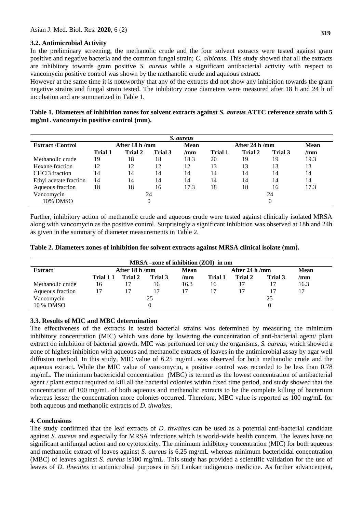# **3.2. Antimicrobial Activity**

In the preliminary screening, the methanolic crude and the four solvent extracts were tested against gram positive and negative bacteria and the common fungal strain; *C. albicans.* This study showed that all the extracts are inhibitory towards gram positive *S. aureus* while a significant antibacterial activity with respect to vancomycin positive control was shown by the methanolic crude and aqueous extract.

However at the same time it is noteworthy that any of the extracts did not show any inhibition towards the gram negative strains and fungal strain tested. The inhibitory zone diameters were measured after 18 h and 24 h of incubation and are summarized in Table 1.

**Table 1. Diameters of inhibition zones for solvent extracts against** *S. aureus* **ATTC reference strain with 5 mg/mL vancomycin positive control (mm).**

| S. aureus                  |         |               |         |             |                         |         |         |                |
|----------------------------|---------|---------------|---------|-------------|-------------------------|---------|---------|----------------|
| <b>Extract/Control</b>     |         | After 18 h/mm |         | <b>Mean</b> | After 24 h $/\text{mm}$ |         |         | <b>Mean</b>    |
|                            | Trial 1 | Trial 2       | Trial 3 | /mm         | Trial 1                 | Trial 2 | Trial 3 | $/\mathbf{mm}$ |
| Methanolic crude           | 19      | 18            | 18      | 18.3        | 20                      | 19      | 19      | 19.3           |
| Hexane fraction            | 12      | 12            | 12      | 12          | 13                      | 13      | 13      | 13             |
| CHCl <sub>3</sub> fraction | 14      | 14            | 14      | 14          | 14                      | 14      | 14      | 14             |
| Ethyl acetate fraction     | 14      | 14            | 14      | 14          | 14                      | 14      | 14      | 14             |
| Aqueous fraction           | 18      | 18            | 16      | 17.3        | 18                      | 18      | 16      | 17.3           |
| Vancomycin                 | 24      |               |         |             | 24                      |         |         |                |
| 10% DMSO                   |         |               |         |             |                         |         |         |                |

Further, inhibitory action of methanolic crude and aqueous crude were tested against clinically isolated MRSA along with vancomycin as the positive control. Surprisingly a significant inhibition was observed at 18h and 24h as given in the summary of diameter measurements in Table 2.

|  | Table 2. Diameters zones of inhibition for solvent extracts against MRSA clinical isolate (mm). |  |  |  |  |
|--|-------------------------------------------------------------------------------------------------|--|--|--|--|
|--|-------------------------------------------------------------------------------------------------|--|--|--|--|

| MRSA-zone of inhibition (ZOI) in nm |                       |         |         |                         |         |         |             |      |
|-------------------------------------|-----------------------|---------|---------|-------------------------|---------|---------|-------------|------|
| <b>Extract</b>                      | After 18 h/mm<br>Mean |         |         | After 24 h $/\text{mm}$ |         |         | <b>Mean</b> |      |
|                                     | Trial 1 1             | Trial 2 | Trial 3 | /mm                     | Trial 1 | Trial 2 | Trial 3     | /mm  |
| Methanolic crude                    | 16                    |         | 16      | 16.3                    | 16      | 17      |             | 16.3 |
| Aqueous fraction                    |                       |         |         | 17                      |         | 17      | 17          |      |
| Vancomycin                          | 25                    |         |         |                         | 25      |         |             |      |
| 10 % DMSO                           |                       |         |         |                         |         |         |             |      |

## **3.3. Results of MIC and MBC determination**

The effectiveness of the extracts in tested bacterial strains was determined by measuring the minimum inhibitory concentration (MIC) which was done by lowering the concentration of anti-bacterial agent/ plant extract on inhibition of bacterial growth. MIC was performed for only the organisms, *S. aureus,* which showed a zone of highest inhibition with aqueous and methanolic extracts of leaves in the antimicrobial assay by agar well diffusion method. In this study, MIC value of 6.25 mg/mL was observed for both methanolic crude and the aqueous extract**.** While the MIC value of vancomycin, a positive control was recorded to be less than 0.78 mg/mL. The minimum bactericidal concentration (MBC) is termed as the lowest concentration of antibacterial agent / plant extract required to kill all the bacterial colonies within fixed time period, and study showed that the concentration of 100 mg/mL of both aqueous and methanolic extracts to be the complete killing of bacterium whereas lesser the concentration more colonies occurred. Therefore, MBC value is reported as 100 mg/mL for both aqueous and methanolic extracts of *D. thwaites.*

## **4. Conclusions**

The study confirmed that the leaf extracts of *D. thwaites* can be used as a potential anti-bacterial candidate against *S. aureus* and especially for MRSA infections which is world-wide health concern. The leaves have no significant antifungal action and no cytotoxicity. The minimum inhibitory concentration (MIC) for both aqueous and methanolic extract of leaves against *S. aureus* is 6.25 mg/mL whereas minimum bactericidal concentration (MBC) of leaves against *S. aureus* is100 mg/mL. This study has provided a scientific validation for the use of leaves of *D. thwaites* in antimicrobial purposes in Sri Lankan indigenous medicine. As further advancement,